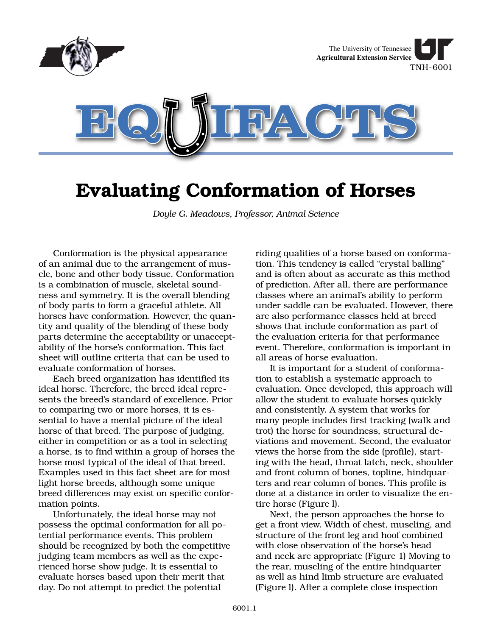

# **Evaluating Conformation of Horses**

*Doyle G. Meadows, Professor, Animal Science*

Conformation is the physical appearance of an animal due to the arrangement of muscle, bone and other body tissue. Conformation is a combination of muscle, skeletal soundness and symmetry. It is the overall blending of body parts to form a graceful athlete. All horses have conformation. However, the quantity and quality of the blending of these body parts determine the acceptability or unacceptability of the horse's conformation. This fact sheet will outline criteria that can be used to evaluate conformation of horses.

Each breed organization has identified its ideal horse. Therefore, the breed ideal represents the breed's standard of excellence. Prior to comparing two or more horses, it is essential to have a mental picture of the ideal horse of that breed. The purpose of judging, either in competition or as a tool in selecting a horse, is to find within a group of horses the horse most typical of the ideal of that breed. Examples used in this fact sheet are for most light horse breeds, although some unique breed differences may exist on specific conformation points.

Unfortunately, the ideal horse may not possess the optimal conformation for all potential performance events. This problem should be recognized by both the competitive judging team members as well as the experienced horse show judge. It is essential to evaluate horses based upon their merit that day. Do not attempt to predict the potential

riding qualities of a horse based on conformation. This tendency is called "crystal balling" and is often about as accurate as this method of prediction. After all, there are performance classes where an animal's ability to perform under saddle can be evaluated. However, there are also performance classes held at breed shows that include conformation as part of the evaluation criteria for that performance event. Therefore, conformation is important in all areas of horse evaluation.

It is important for a student of conformation to establish a systematic approach to evaluation. Once developed, this approach will allow the student to evaluate horses quickly and consistently. A system that works for many people includes first tracking (walk and trot) the horse for soundness, structural deviations and movement. Second, the evaluator views the horse from the side (profile), starting with the head, throat latch, neck, shoulder and front column of bones, topline, hindquarters and rear column of bones. This profile is done at a distance in order to visualize the entire horse (Figure l).

Next, the person approaches the horse to get a front view. Width of chest, muscling, and structure of the front leg and hoof combined with close observation of the horse's head and neck are appropriate (Figure 1) Moving to the rear, muscling of the entire hindquarter as well as hind limb structure are evaluated (Figure l). After a complete close inspection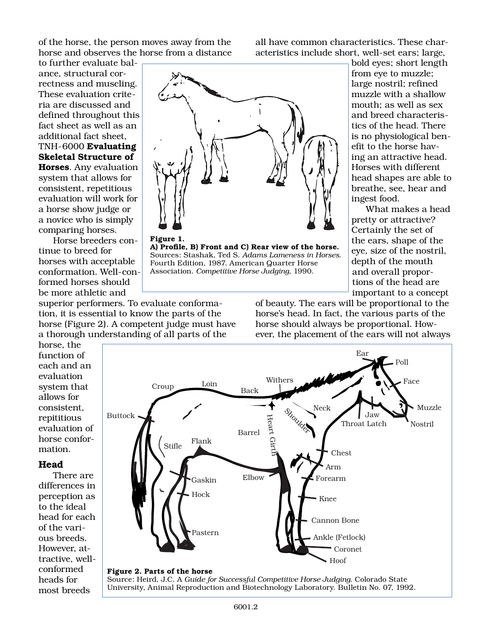of the horse, the person moves away from the horse and observes the horse from a distance

to further evaluate balance, structural correctness and muscling. These evaluation criteria are discussed and defined throughout this fact sheet as well as an additional fact sheet, TNH-6000 **Evaluating Skeletal Structure of Horses**. Any evaluation system that allows for consistent, repetitious

evaluation will work for a horse show judge or a novice who is simply comparing horses.

Horse breeders continue to breed for horses with acceptable conformation. Well-conformed horses should be more athletic and

superior performers. To evaluate conformation, it is essential to know the parts of the horse (Figure 2). A competent judge must have a thorough understanding of all parts of the

all have common characteristics. These characteristics include short, well-set ears; large,



**A) Profile, B) Front and C) Rear view of the horse.** Sources: Stashak, Ted S. *Adams Lameness in Horses*. Fourth Edition, 1987. American Quarter Horse Association. *Competitive Horse Judging*, 1990.

bold eyes; short length from eye to muzzle; large nostril; refined muzzle with a shallow mouth; as well as sex and breed characteristics of the head. There is no physiological benefit to the horse having an attractive head. Horses with different head shapes are able to breathe, see, hear and ingest food.

What makes a head pretty or attractive? Certainly the set of the ears, shape of the eye, size of the nostril, depth of the mouth and overall proportions of the head are important to a concept

of beauty. The ears will be proportional to the horse's head. In fact, the various parts of the horse should always be proportional. However, the placement of the ears will not always

horse, the function of each and an evaluation system that allows for consistent, repititious evaluation of horse conformation.

#### **Head**

There are differences in perception as to the ideal head for each of the various breeds. However, attractive, wellconformed heads for most breeds



#### **Figure 2. Parts of the horse**

Source: Heird, J.C. A *Guide for Successful Competitive Horse Judging*. Colorado State University, Animal Reproduction and Biotechnology Laboratory. Bulletin No. 07, 1992.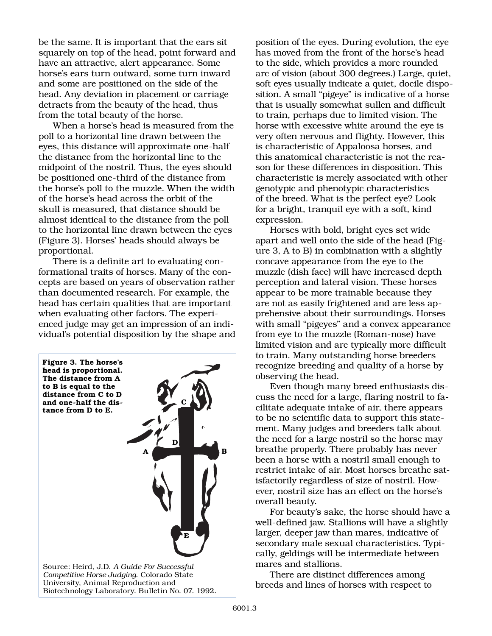be the same. It is important that the ears sit squarely on top of the head, point forward and have an attractive, alert appearance. Some horse's ears turn outward, some turn inward and some are positioned on the side of the head. Any deviation in placement or carriage detracts from the beauty of the head, thus from the total beauty of the horse.

When a horse's head is measured from the poll to a horizontal line drawn between the eyes, this distance will approximate one-half the distance from the horizontal line to the midpoint of the nostril. Thus, the eyes should be positioned one-third of the distance from the horse's poll to the muzzle. When the width of the horse's head across the orbit of the skull is measured, that distance should be almost identical to the distance from the poll to the horizontal line drawn between the eyes (Figure 3). Horses' heads should always be proportional.

There is a definite art to evaluating conformational traits of horses. Many of the concepts are based on years of observation rather than documented research. For example, the head has certain qualities that are important when evaluating other factors. The experienced judge may get an impression of an individual's potential disposition by the shape and



University, Animal Reproduction and Biotechnology Laboratory. Bulletin No. 07. 1992. position of the eyes. During evolution, the eye has moved from the front of the horse's head to the side, which provides a more rounded arc of vision (about 300 degrees.) Large, quiet, soft eyes usually indicate a quiet, docile disposition. A small "pigeye" is indicative of a horse that is usually somewhat sullen and difficult to train, perhaps due to limited vision. The horse with excessive white around the eye is very often nervous and flighty. However, this is characteristic of Appaloosa horses, and this anatomical characteristic is not the reason for these differences in disposition. This characteristic is merely associated with other genotypic and phenotypic characteristics of the breed. What is the perfect eye? Look for a bright, tranquil eye with a soft, kind expression.

Horses with bold, bright eyes set wide apart and well onto the side of the head (Figure 3, A to B) in combination with a slightly concave appearance from the eye to the muzzle (dish face) will have increased depth perception and lateral vision. These horses appear to be more trainable because they are not as easily frightened and are less apprehensive about their surroundings. Horses with small "pigeyes" and a convex appearance from eye to the muzzle (Roman-nose) have limited vision and are typically more difficult to train. Many outstanding horse breeders recognize breeding and quality of a horse by observing the head.

Even though many breed enthusiasts discuss the need for a large, flaring nostril to facilitate adequate intake of air, there appears to be no scientific data to support this statement. Many judges and breeders talk about the need for a large nostril so the horse may breathe properly. There probably has never been a horse with a nostril small enough to restrict intake of air. Most horses breathe satisfactorily regardless of size of nostril. However, nostril size has an effect on the horse's overall beauty.

For beauty's sake, the horse should have a well-defined jaw. Stallions will have a slightly larger, deeper jaw than mares, indicative of secondary male sexual characteristics. Typically, geldings will be intermediate between mares and stallions.

There are distinct differences among breeds and lines of horses with respect to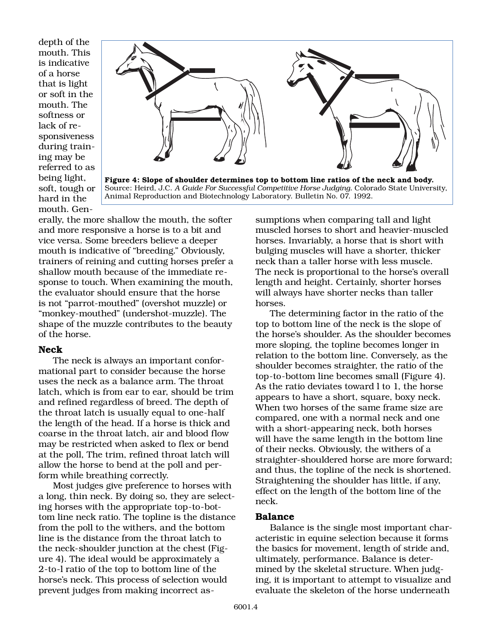depth of the mouth. This is indicative of a horse that is light or soft in the mouth. The softness or lack of responsiveness during training may be referred to as being light, soft, tough or hard in the mouth. Gen-



**Figure 4: Slope of shoulder determines top to bottom line ratios of the neck and body.**  Source: Heird, J.C. *A Guide For Successful Competitive Horse Judging.* Colorado State University, Animal Reproduction and Biotechnology Laboratory. Bulletin No. 07. 1992.

erally, the more shallow the mouth, the softer and more responsive a horse is to a bit and vice versa. Some breeders believe a deeper mouth is indicative of "breeding." Obviously, trainers of reining and cutting horses prefer a shallow mouth because of the immediate response to touch. When examining the mouth, the evaluator should ensure that the horse is not "parrot-mouthed" (overshot muzzle) or "monkey-mouthed" (undershot-muzzle). The shape of the muzzle contributes to the beauty of the horse.

#### **Neck**

The neck is always an important conformational part to consider because the horse uses the neck as a balance arm. The throat latch, which is from ear to ear, should be trim and refined regardless of breed. The depth of the throat latch is usually equal to one-half the length of the head. If a horse is thick and coarse in the throat latch, air and blood flow may be restricted when asked to flex or bend at the poll, The trim, refined throat latch will allow the horse to bend at the poll and perform while breathing correctly.

Most judges give preference to horses with a long, thin neck. By doing so, they are selecting horses with the appropriate top-to-bottom line neck ratio. The topline is the distance from the poll to the withers, and the bottom line is the distance from the throat latch to the neck-shoulder junction at the chest (Figure 4). The ideal would be approximately a 2-to-l ratio of the top to bottom line of the horse's neck. This process of selection would prevent judges from making incorrect assumptions when comparing tall and light muscled horses to short and heavier-muscled horses. Invariably, a horse that is short with bulging muscles will have a shorter, thicker neck than a taller horse with less muscle. The neck is proportional to the horse's overall length and height. Certainly, shorter horses will always have shorter necks than taller horses.

The determining factor in the ratio of the top to bottom line of the neck is the slope of the horse's shoulder. As the shoulder becomes more sloping, the topline becomes longer in relation to the bottom line. Conversely, as the shoulder becomes straighter, the ratio of the top-to-bottom line becomes small (Figure 4). As the ratio deviates toward l to 1, the horse appears to have a short, square, boxy neck. When two horses of the same frame size are compared, one with a normal neck and one with a short-appearing neck, both horses will have the same length in the bottom line of their necks. Obviously, the withers of a straighter-shouldered horse are more forward; and thus, the topline of the neck is shortened. Straightening the shoulder has little, if any, effect on the length of the bottom line of the neck.

#### **Balance**

Balance is the single most important characteristic in equine selection because it forms the basics for movement, length of stride and, ultimately, performance. Balance is determined by the skeletal structure. When judging, it is important to attempt to visualize and evaluate the skeleton of the horse underneath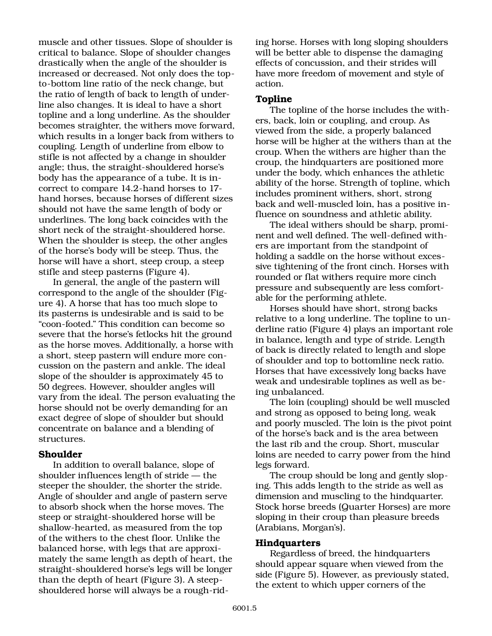muscle and other tissues. Slope of shoulder is critical to balance. Slope of shoulder changes drastically when the angle of the shoulder is increased or decreased. Not only does the topto-bottom line ratio of the neck change, but the ratio of length of back to length of underline also changes. It is ideal to have a short topline and a long underline. As the shoulder becomes straighter, the withers move forward, which results in a longer back from withers to coupling. Length of underline from elbow to stifle is not affected by a change in shoulder angle; thus, the straight-shouldered horse's body has the appearance of a tube. It is incorrect to compare 14.2-hand horses to 17 hand horses, because horses of different sizes should not have the same length of body or underlines. The long back coincides with the short neck of the straight-shouldered horse. When the shoulder is steep, the other angles of the horse's body will be steep. Thus, the horse will have a short, steep croup, a steep stifle and steep pasterns (Figure 4).

In general, the angle of the pastern will correspond to the angle of the shoulder (Figure 4). A horse that has too much slope to its pasterns is undesirable and is said to be "coon-footed." This condition can become so severe that the horse's fetlocks hit the ground as the horse moves. Additionally, a horse with a short, steep pastern will endure more concussion on the pastern and ankle. The ideal slope of the shoulder is approximately 45 to 50 degrees. However, shoulder angles will vary from the ideal. The person evaluating the horse should not be overly demanding for an exact degree of slope of shoulder but should concentrate on balance and a blending of structures.

#### **Shoulder**

In addition to overall balance, slope of shoulder influences length of stride — the steeper the shoulder, the shorter the stride. Angle of shoulder and angle of pastern serve to absorb shock when the horse moves. The steep or straight-shouldered horse will be shallow-hearted, as measured from the top of the withers to the chest floor. Unlike the balanced horse, with legs that are approximately the same length as depth of heart, the straight-shouldered horse's legs will be longer than the depth of heart (Figure 3). A steepshouldered horse will always be a rough-rid-

ing horse. Horses with long sloping shoulders will be better able to dispense the damaging effects of concussion, and their strides will have more freedom of movement and style of action.

#### **Topline**

The topline of the horse includes the withers, back, loin or coupling, and croup. As viewed from the side, a properly balanced horse will be higher at the withers than at the croup. When the withers are higher than the croup, the hindquarters are positioned more under the body, which enhances the athletic ability of the horse. Strength of topline, which includes prominent withers, short, strong back and well-muscled loin, has a positive influence on soundness and athletic ability.

The ideal withers should be sharp, prominent and well defined. The well-defined withers are important from the standpoint of holding a saddle on the horse without excessive tightening of the front cinch. Horses with rounded or flat withers require more cinch pressure and subsequently are less comfortable for the performing athlete.

Horses should have short, strong backs relative to a long underline. The topline to underline ratio (Figure 4) plays an important role in balance, length and type of stride. Length of back is directly related to length and slope of shoulder and top to bottomline neck ratio. Horses that have excessively long backs have weak and undesirable toplines as well as being unbalanced.

The loin (coupling) should be well muscled and strong as opposed to being long, weak and poorly muscled. The loin is the pivot point of the horse's back and is the area between the last rib and the croup. Short, muscular loins are needed to carry power from the hind legs forward.

The croup should be long and gently sloping. This adds length to the stride as well as dimension and muscling to the hindquarter. Stock horse breeds (Quarter Horses) are more sloping in their croup than pleasure breeds (Arabians, Morgan's).

#### **Hindquarters**

Regardless of breed, the hindquarters should appear square when viewed from the side (Figure 5). However, as previously stated, the extent to which upper corners of the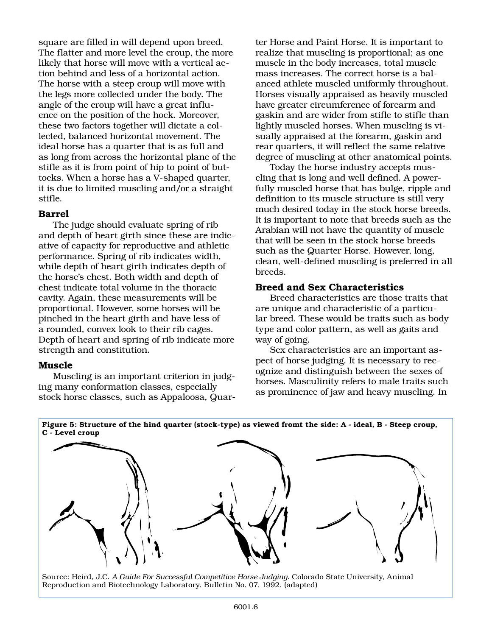square are filled in will depend upon breed. The flatter and more level the croup, the more likely that horse will move with a vertical action behind and less of a horizontal action. The horse with a steep croup will move with the legs more collected under the body. The angle of the croup will have a great influence on the position of the hock. Moreover, these two factors together will dictate a collected, balanced horizontal movement. The ideal horse has a quarter that is as full and as long from across the horizontal plane of the stifle as it is from point of hip to point of buttocks. When a horse has a V-shaped quarter, it is due to limited muscling and/or a straight stifle.

### **Barrel**

The judge should evaluate spring of rib and depth of heart girth since these are indicative of capacity for reproductive and athletic performance. Spring of rib indicates width, while depth of heart girth indicates depth of the horse's chest. Both width and depth of chest indicate total volume in the thoracic cavity. Again, these measurements will be proportional. However, some horses will be pinched in the heart girth and have less of a rounded, convex look to their rib cages. Depth of heart and spring of rib indicate more strength and constitution.

#### **Muscle**

Muscling is an important criterion in judging many conformation classes, especially stock horse classes, such as Appaloosa, Quar-

ter Horse and Paint Horse. It is important to realize that muscling is proportional; as one muscle in the body increases, total muscle mass increases. The correct horse is a balanced athlete muscled uniformly throughout. Horses visually appraised as heavily muscled have greater circumference of forearm and gaskin and are wider from stifle to stifle than lightly muscled horses. When muscling is visually appraised at the forearm, gaskin and rear quarters, it will reflect the same relative degree of muscling at other anatomical points.

Today the horse industry accepts muscling that is long and well defined. A powerfully muscled horse that has bulge, ripple and definition to its muscle structure is still very much desired today in the stock horse breeds. It is important to note that breeds such as the Arabian will not have the quantity of muscle that will be seen in the stock horse breeds such as the Quarter Horse. However, long, clean, well-defined muscling is preferred in all breeds.

## **Breed and Sex Characteristics**

Breed characteristics are those traits that are unique and characteristic of a particular breed. These would be traits such as body type and color pattern, as well as gaits and way of going.

Sex characteristics are an important aspect of horse judging. It is necessary to recognize and distinguish between the sexes of horses. Masculinity refers to male traits such as prominence of jaw and heavy muscling. In

**C - Level croup**

Source: Heird, J.C. *A Guide For Successful Competitive Horse Judging*. Colorado State University, Animal Reproduction and Biotechnology Laboratory. Bulletin No. 07. 1992. (adapted)

# **Figure 5: Structure of the hind quarter (stock-type) as viewed fromt the side: A - ideal, B - Steep croup,**